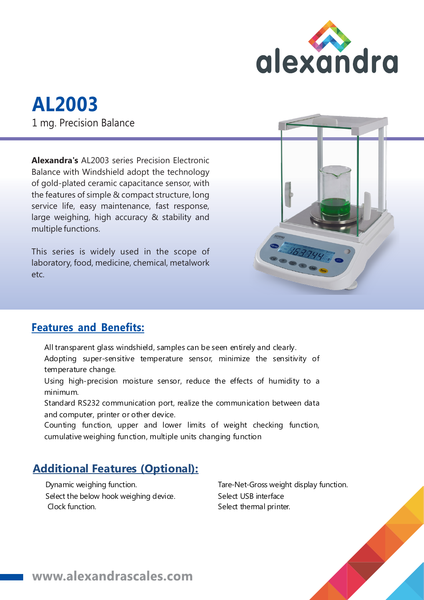

# **AL2003** 1 mg. Precision Balance

**Alexandra's** AL2003 series Precision Electronic Balance with Windshield adopt the technology of gold-plated ceramic capacitance sensor, with the features of simple & compact structure, long service life, easy maintenance, fast response, large weighing, high accuracy & stability and multiple functions.

This series is widely used in the scope of laboratory, food, medicine, chemical, metalwork etc.



#### **Features and Benefits:**

- All transparent glass windshield, samples can be seen entirely and clearly.
- Adopting super-sensitive temperature sensor, minimize the sensitivity of temperature change.
- Using high-precision moisture sensor, reduce the effects of humidity to a minimum.
- Standard RS232 communication port, realize the communication between data and computer, printer or other device.
- Counting function, upper and lower limits of weight checking function, cumulative weighing function, multiple units changing function

#### **Additional Features (Optional):**

Dynamic weighing function. Select the below hook weighing device. Clock function.

Tare-Net-Gross weight display function. Select USB interface Select thermal printer.